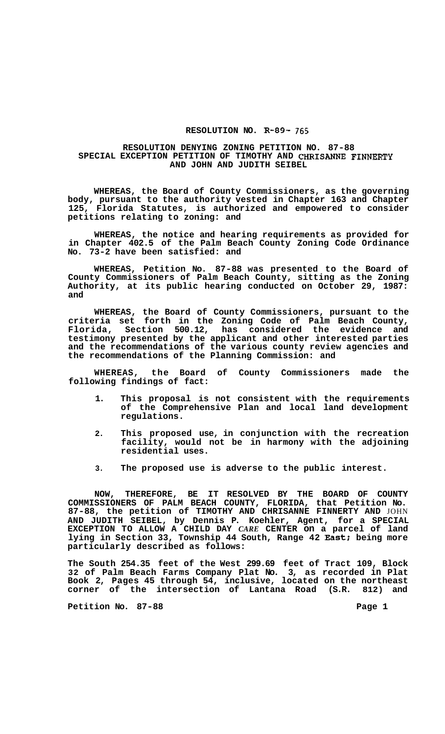## **RESOLUTION NO. R-89- 765**

## **RESOLUTION DENYING ZONING PETITION NO. 87-88 AND JOHN AND JUDITH SEIBEL SPECIAL EXCEPTION PETITION OF TIMOTHY AND CHRISANNE FINNERTY**

**WHEREAS, the Board of County Commissioners, as the governing body, pursuant to the authority vested in Chapter 163 and Chapter 125, Florida Statutes, is authorized and empowered to consider petitions relating to zoning: and** 

**WHEREAS, the notice and hearing requirements as provided for in Chapter 402.5 of the Palm Beach County Zoning Code Ordinance No. 73-2 have been satisfied: and** 

**WHEREAS, Petition No. 87-88 was presented to the Board of County Commissioners of Palm Beach County, sitting as the Zoning Authority, at its public hearing conducted on October 29, 1987: and** 

**WHEREAS, the Board of County Commissioners, pursuant to the criteria set forth in the Zoning Code of Palm Beach County, Florida, Section 500.12, has considered the evidence and testimony presented by the applicant and other interested parties and the recommendations of the various county review agencies and the recommendations of the Planning Commission: and** 

**WHEREAS, the Board of County Commissioners made the following findings of fact:** 

- **1. This proposal is not consistent with the requirements of the Comprehensive Plan and local land development regulations.**
- **2. This proposed use, in conjunction with the recreation facility, would not be in harmony with the adjoining residential uses.**
- **3. The proposed use is adverse to the public interest.**

**NOW, THEREFORE, BE IT RESOLVED BY THE BOARD OF COUNTY COMMISSIONERS OF PALM BEACH COUNTY, FLORIDA, that Petition No. 87-88, the petition of TIMOTHY AND CHRISANNE FINNERTY AND** JOHN **AND JUDITH SEIBEL, by Dennis P. Koehler, Agent, for a SPECIAL EXCEPTION TO ALLOW A CHILD DAY** *CARE* **CENTER on a parcel of land lying in Section 33, Township 44 South, Range 42 East; being more particularly described as follows:** 

**The South 254.35 feet of the West 299.69 feet of Tract 109, Block 32 of Palm Beach Farms Company Plat No. 3, as recorded in Plat Book 2, Pages 45 through 54, inclusive, located on the northeast corner of the intersection of Lantana Road (S.R. 812) and** 

Petition No. 87-88 **Page 1 Page 1**